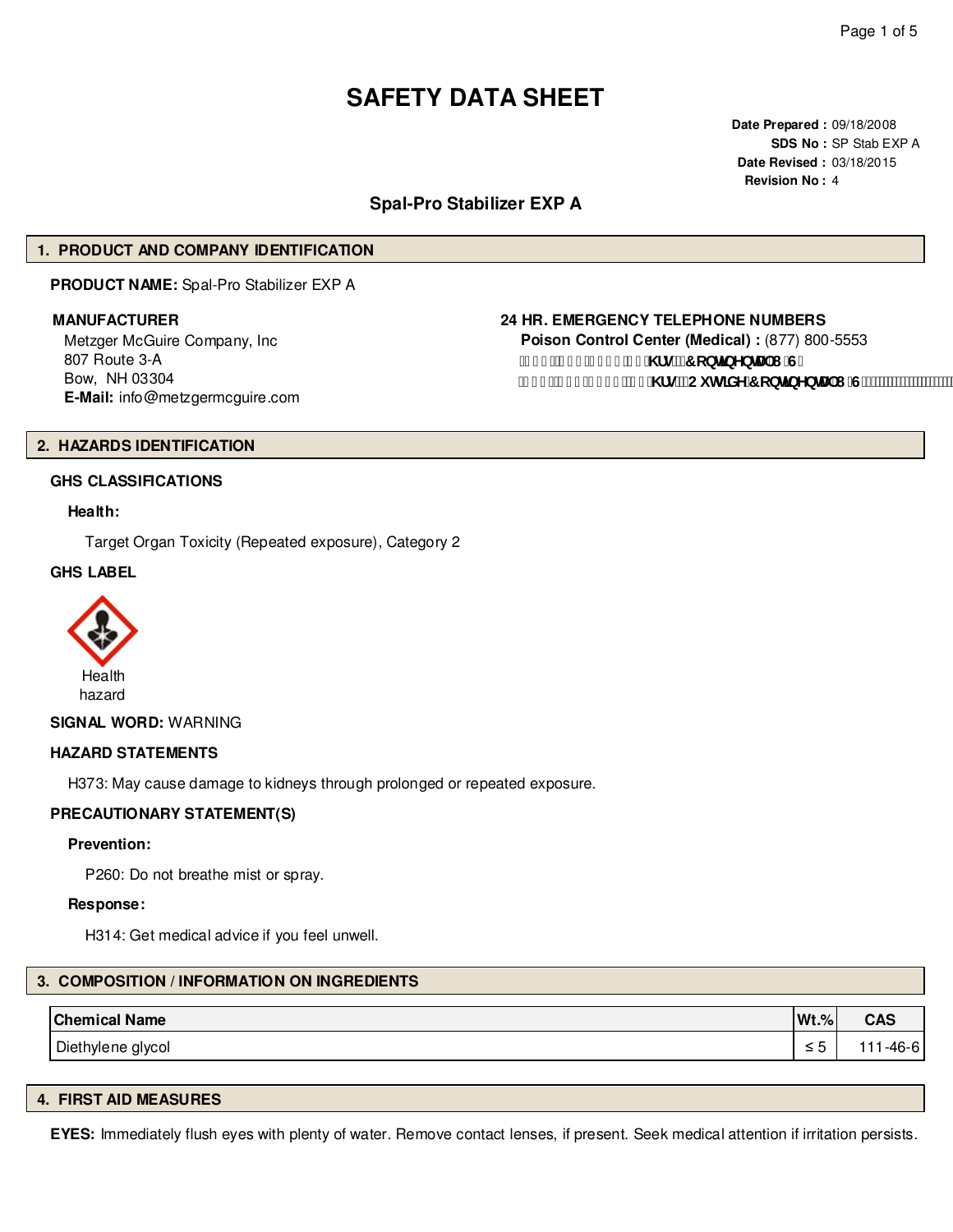# **SAFETY DATA SHEET**

**Date Prepared :** 09/18/2008 **SDS No :** SP Stab EXP A **Date Revised :** 03/18/2015 **Revision No :** 4

# **Spal-Pro Stabilizer EXP A**

# **1. PRODUCT AND COMPANY IDENTIFICATION**

**PRODUCT NAME:** Spal-Pro Stabilizer EXP A

Metzger McGuire Company, Inc 807 Route 3-A Bow, NH 03304 **E-Mail:** info@metzgermcguire.com

#### **MANUFACTURER 24 HR. EMERGENCY TELEPHONE NUMBERS**

**Poison Control Center (Medical) :** (877) 800-5553 f| \$\$Ł&) ) !' - & & \ fg"f**r** cbHbYbHJ | "G" f| % L&(, !\$), ) "&( \fg"fCi lg]XY'7 cbljbYbHJ'l "G'L"

#### **2. HAZARDS IDENTIFICATION**

#### **GHS CLASSIFICATIONS**

#### **Health:**

Target Organ Toxicity (Repeated exposure), Category 2

#### **GHS LABEL**



#### **SIGNAL WORD:** WARNING

#### **HAZARD STATEMENTS**

H373: May cause damage to kidneys through prolonged or repeated exposure.

#### **PRECAUTIONARY STATEMENT(S)**

#### **Prevention:**

P260: Do not breathe mist or spray.

#### **Response:**

H314: Get medical advice if you feel unwell.

#### **3. COMPOSITION / INFORMATION ON INGREDIENTS**

| <b>Chemical Name</b> | $Wt.\%$ | <b>CAS</b> |
|----------------------|---------|------------|
| Diethylene glycol    | -       | -46-6<br>. |

# **4. FIRST AID MEASURES**

**EYES:** Immediately flush eyes with plenty of water. Remove contact lenses, if present. Seek medical attention if irritation persists.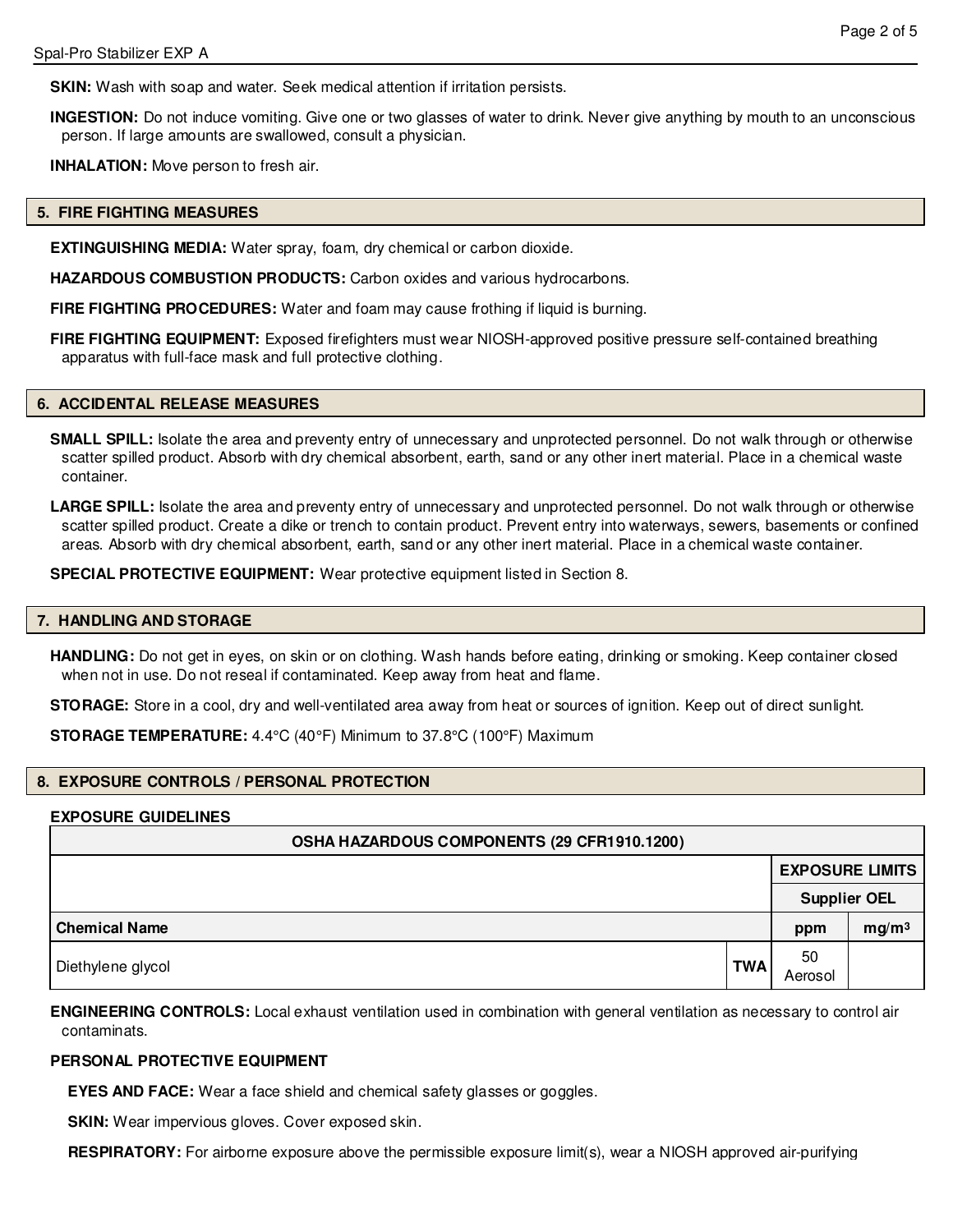**SKIN:** Wash with soap and water. Seek medical attention if irritation persists.

**INGESTION:** Do not induce vomiting. Give one or two glasses of water to drink. Never give anything by mouth to an unconscious person. If large amounts are swallowed, consult a physician.

**INHALATION:** Move person to fresh air.

#### **5. FIRE FIGHTING MEASURES**

**EXTINGUISHING MEDIA:** Water spray, foam, dry chemical or carbon dioxide.

**HAZARDOUS COMBUSTION PRODUCTS:** Carbon oxides and various hydrocarbons.

**FIRE FIGHTING PROCEDURES:** Water and foam may cause frothing if liquid is burning.

**FIRE FIGHTING EQUIPMENT:** Exposed firefighters must wear NIOSH-approved positive pressure self-contained breathing apparatus with full-face mask and full protective clothing.

#### **6. ACCIDENTAL RELEASE MEASURES**

**SMALL SPILL:** Isolate the area and preventy entry of unnecessary and unprotected personnel. Do not walk through or otherwise scatter spilled product. Absorb with dry chemical absorbent, earth, sand or any other inert material. Place in a chemical waste container.

LARGE SPILL: Isolate the area and preventy entry of unnecessary and unprotected personnel. Do not walk through or otherwise scatter spilled product. Create a dike or trench to contain product. Prevent entry into waterways, sewers, basements or confined areas. Absorb with dry chemical absorbent, earth, sand or any other inert material. Place in a chemical waste container.

**SPECIAL PROTECTIVE EQUIPMENT:** Wear protective equipment listed in Section 8.

#### **7. HANDLING AND STORAGE**

**HANDLING:** Do not get in eyes, on skin or on clothing. Wash hands before eating, drinking or smoking. Keep container closed when not in use. Do not reseal if contaminated. Keep away from heat and flame.

**STORAGE:** Store in a cool, dry and well-ventilated area away from heat or sources of ignition. Keep out of direct sunlight.

**STORAGE TEMPERATURE:** 4.4°C (40°F) Minimum to 37.8°C (100°F) Maximum

#### **8. EXPOSURE CONTROLS / PERSONAL PROTECTION**

#### **EXPOSURE GUIDELINES**

| OSHA HAZARDOUS COMPONENTS (29 CFR1910.1200) |            |                     |                        |  |  |
|---------------------------------------------|------------|---------------------|------------------------|--|--|
|                                             |            |                     | <b>EXPOSURE LIMITS</b> |  |  |
|                                             |            | <b>Supplier OEL</b> |                        |  |  |
| <b>Chemical Name</b>                        |            | ppm                 | mg/m <sup>3</sup>      |  |  |
| Diethylene glycol                           | <b>TWA</b> | 50<br>Aerosol       |                        |  |  |

**ENGINEERING CONTROLS:** Local exhaust ventilation used in combination with general ventilation as necessary to control air contaminats.

#### **PERSONAL PROTECTIVE EQUIPMENT**

**EYES AND FACE:** Wear a face shield and chemical safety glasses or goggles.

**SKIN:** Wear impervious gloves. Cover exposed skin.

**RESPIRATORY:** For airborne exposure above the permissible exposure limit(s), wear a NIOSH approved air-purifying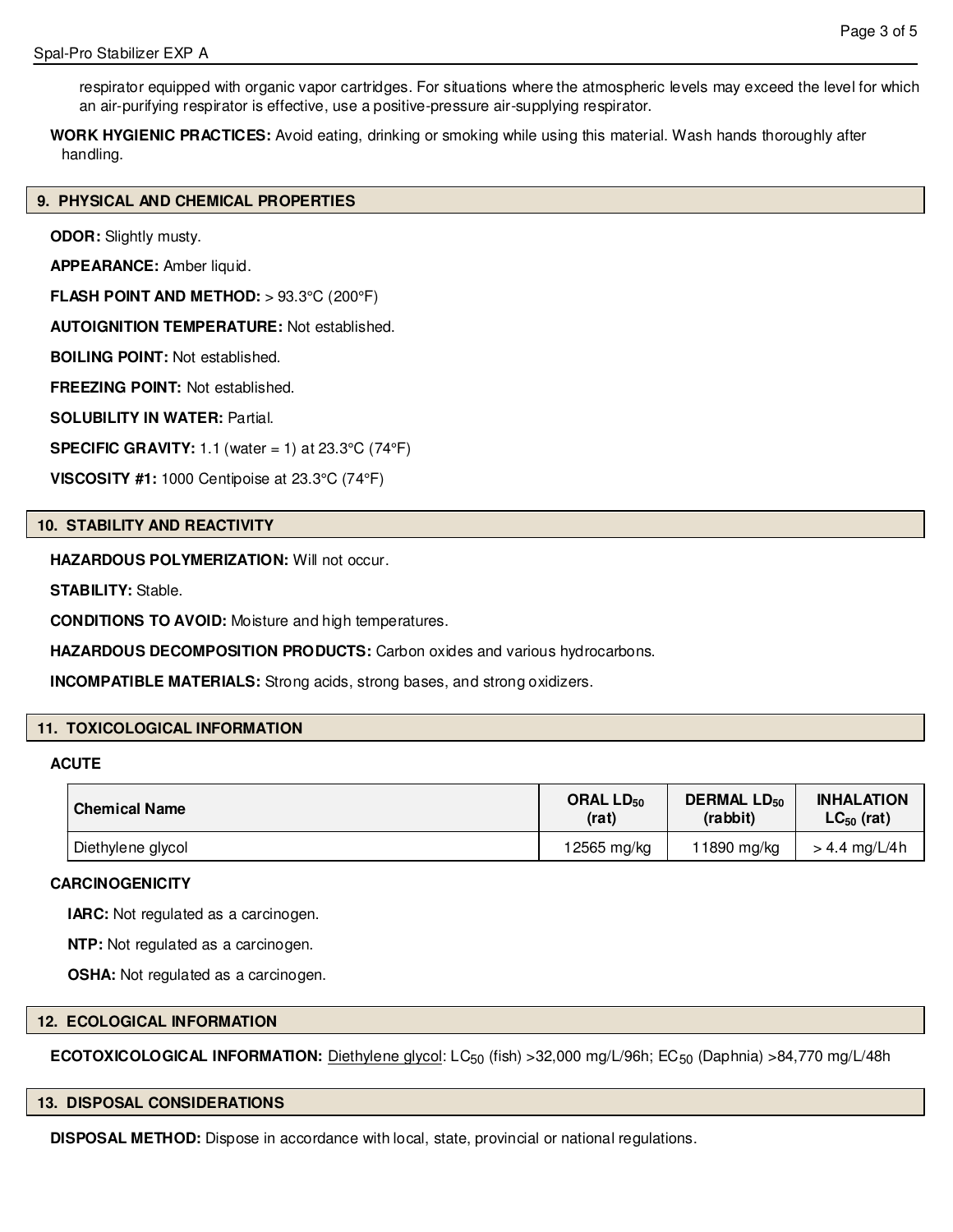respirator equipped with organic vapor cartridges. For situations where the atmospheric levels may exceed the level for which an air-purifying respirator is effective, use a positive-pressure air-supplying respirator.

**WORK HYGIENIC PRACTICES:** Avoid eating, drinking or smoking while using this material. Wash hands thoroughly after handling.

#### **9. PHYSICAL AND CHEMICAL PROPERTIES**

**ODOR:** Slightly musty.

**APPEARANCE:** Amber liquid.

**FLASH POINT AND METHOD:** > 93.3°C (200°F)

**AUTOIGNITION TEMPERATURE:** Not established.

**BOILING POINT:** Not established.

**FREEZING POINT:** Not established.

**SOLUBILITY IN WATER:** Partial.

**SPECIFIC GRAVITY:** 1.1 (water = 1) at 23.3°C (74°F)

**VISCOSITY #1:** 1000 Centipoise at 23.3°C (74°F)

#### **10. STABILITY AND REACTIVITY**

**HAZARDOUS POLYMERIZATION: Will not occur.** 

**STABILITY:** Stable.

**CONDITIONS TO AVOID:** Moisture and high temperatures.

**HAZARDOUS DECOMPOSITION PRODUCTS:** Carbon oxides and various hydrocarbons.

**INCOMPATIBLE MATERIALS:** Strong acids, strong bases, and strong oxidizers.

# **11. TOXICOLOGICAL INFORMATION**

#### **ACUTE**

| <b>Chemical Name</b> | ORAL LD <sub>50</sub> | <b>DERMAL LD<sub>50</sub></b> | <b>INHALATION</b> |
|----------------------|-----------------------|-------------------------------|-------------------|
|                      | (rat)                 | (rabbit)                      | $LC_{50}$ (rat)   |
| Diethylene glycol    | 12565 mg/kg           | 11890 mg/kg                   | $> 4.4$ mg/L/4h   |

#### **CARCINOGENICITY**

**IARC:** Not regulated as a carcinogen.

**NTP:** Not regulated as a carcinogen.

**OSHA:** Not regulated as a carcinogen.

#### **12. ECOLOGICAL INFORMATION**

**ECOTOXICOLOGICAL INFORMATION:** Diethylene glycol: LC<sub>50</sub> (fish) >32,000 mg/L/96h; EC<sub>50</sub> (Daphnia) >84,770 mg/L/48h

#### **13. DISPOSAL CONSIDERATIONS**

**DISPOSAL METHOD:** Dispose in accordance with local, state, provincial or national regulations.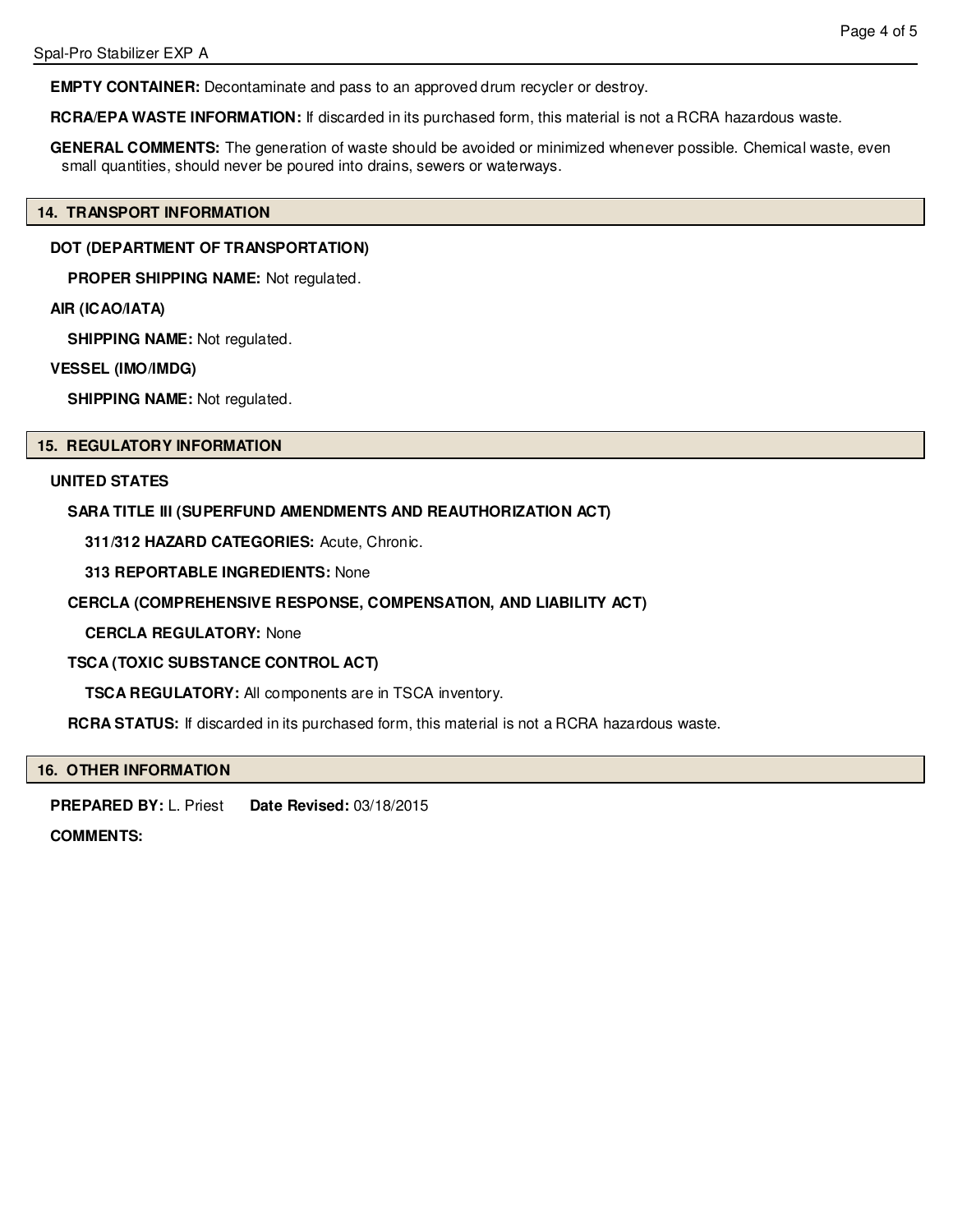**EMPTY CONTAINER:** Decontaminate and pass to an approved drum recycler or destroy.

**RCRA/EPA WASTE INFORMATION:** If discarded in its purchased form, this material is not a RCRA hazardous waste.

**GENERAL COMMENTS:** The generation of waste should be avoided or minimized whenever possible. Chemical waste, even small quantities, should never be poured into drains, sewers or waterways.

#### **14. TRANSPORT INFORMATION**

### **DOT (DEPARTMENT OF TRANSPORTATION)**

**PROPER SHIPPING NAME:** Not regulated.

#### **AIR (ICAO/IATA)**

**SHIPPING NAME:** Not regulated.

#### **VESSEL (IMO/IMDG)**

**SHIPPING NAME:** Not regulated.

#### **15. REGULATORY INFORMATION**

#### **UNITED STATES**

#### **SARA TITLE III (SUPERFUND AMENDMENTS AND REAUTHORIZATION ACT)**

**311/312 HAZARD CATEGORIES:** Acute, Chronic.

**313 REPORTABLE INGREDIENTS:** None

### **CERCLA (COMPREHENSIVE RESPONSE, COMPENSATION, AND LIABILITY ACT)**

**CERCLA REGULATORY:** None

#### **TSCA (TOXIC SUBSTANCE CONTROL ACT)**

**TSCA REGULATORY:** All components are in TSCA inventory.

**RCRA STATUS:** If discarded in its purchased form, this material is not a RCRA hazardous waste.

# **16. OTHER INFORMATION**

**PREPARED BY:** L. Priest **Date Revised:** 03/18/2015

# **COMMENTS:**